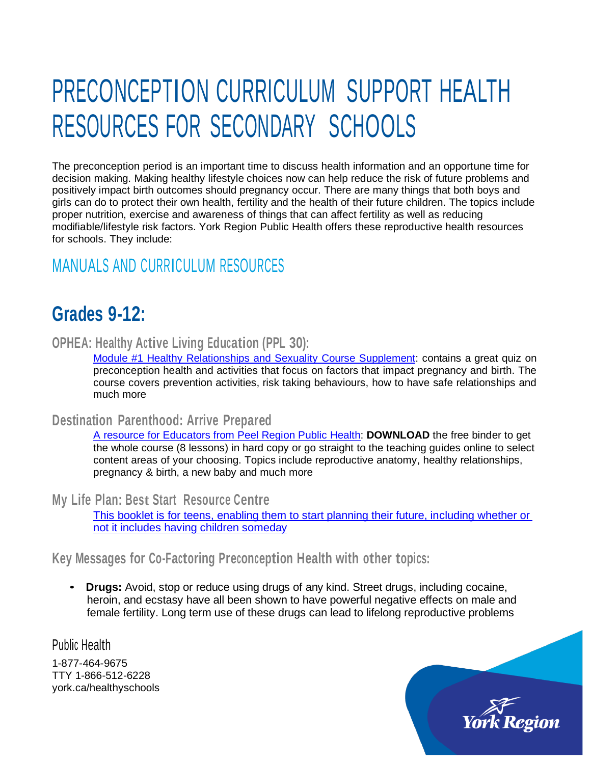# PRECONCEPTION CURRICULUM SUPPORT HEALTH RESOURCES FOR SECONDARY SCHOOLS

The preconception period is an important time to discuss health information and an opportune time for decision making. Making healthy lifestyle choices now can help reduce the risk of future problems and positively impact birth outcomes should pregnancy occur. There are many things that both boys and girls can do to protect their own health, fertility and the health of their future children. The topics include proper nutrition, exercise and awareness of things that can affect fertility as well as reducing modifiable/lifestyle risk factors. York Region Public Health offers these reproductive health resources for schools. They include:

## MANUALS AND CURRICULUM RESOURCES

## **Grades 9-12:**

#### **OPHEA: Healthy Active Living Education (PPL 30):**

Module #1 Healthy [Relationships](http://www.ophea.net/programs-services/ophea-resources/hpe-secondary-resources) and Sexuality Course Supplement: contains a great quiz on preconception health and activities that focus on factors that impact pregnancy and birth. The course covers prevention activities, risk taking behaviours, how to have safe relationships and much more

#### **Destination Parenthood: Arrive Prepared**

A resource for Educators [from Peel Region](http://www.peelregion.ca/health/destinationparenthood/section.asp?cid=5) Public Health: **DOWNLOAD** the free binder to get the whole course (8 lessons) in hard copy or go straight to the teaching guides online to select content areas of your choosing. Topics include reproductive anatomy, healthy relationships, pregnancy & birth, a new baby and much more

**My Life Plan: Best Start Resource Centre**

This booklet is for teens, [enabling them](https://resources.beststart.org/wp-content/uploads/2014/01/F13-E.pdf) to start planning their future, including whether or not it includes [having children someday](https://resources.beststart.org/wp-content/uploads/2014/01/F13-E.pdf)

**Key Messages for Co-Factoring Preconception Health with other topics:**

• **Drugs:** Avoid, stop or reduce using drugs of any kind. Street drugs, including cocaine, heroin, and ecstasy have all been shown to have powerful negative effects on male and female fertility. Long term use of these drugs can lead to lifelong reproductive problems

Public Health

1-877-464-9675 TTY 1-866-512-6228 york.ca/healthyschools

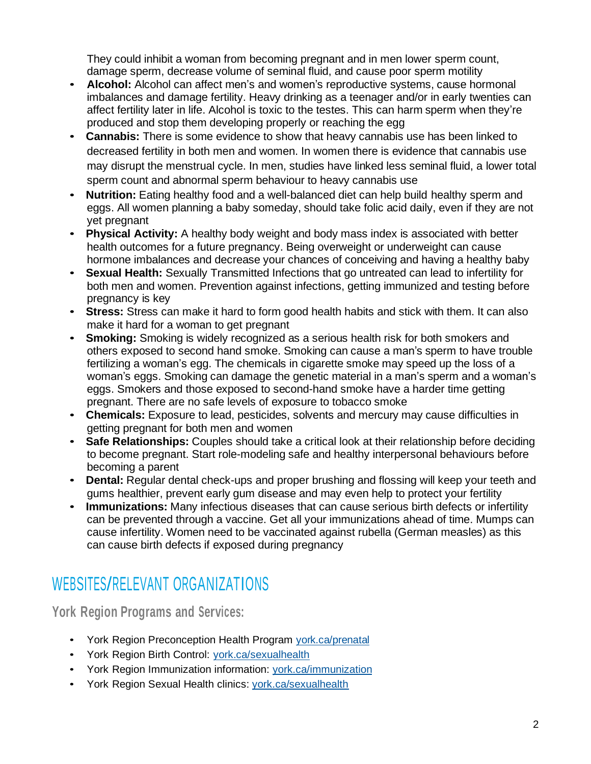They could inhibit a woman from becoming pregnant and in men lower sperm count, damage sperm, decrease volume of seminal fluid, and cause poor sperm motility

- **Alcohol:** Alcohol can affect men's and women's reproductive systems, cause hormonal imbalances and damage fertility. Heavy drinking as a teenager and/or in early twenties can affect fertility later in life. Alcohol is toxic to the testes. This can harm sperm when they're produced and stop them developing properly or reaching the egg
- **Cannabis:** There is some evidence to show that heavy cannabis use has been linked to decreased fertility in both men and women. In women there is evidence that cannabis use may disrupt the menstrual cycle. In men, studies have linked less seminal fluid, a lower total sperm count and abnormal sperm behaviour to heavy cannabis use
- **Nutrition:** Eating healthy food and a well-balanced diet can help build healthy sperm and eggs. All women planning a baby someday, should take folic acid daily, even if they are not yet pregnant
- **Physical Activity:** A healthy body weight and body mass index is associated with better health outcomes for a future pregnancy. Being overweight or underweight can cause hormone imbalances and decrease your chances of conceiving and having a healthy baby
- **Sexual Health:** Sexually Transmitted Infections that go untreated can lead to infertility for both men and women. Prevention against infections, getting immunized and testing before pregnancy is key
- **Stress:** Stress can make it hard to form good health habits and stick with them. It can also make it hard for a woman to get pregnant
- **Smoking:** Smoking is widely recognized as a serious health risk for both smokers and others exposed to second hand smoke. Smoking can cause a man's sperm to have trouble fertilizing a woman's egg. The chemicals in cigarette smoke may speed up the loss of a woman's eggs. Smoking can damage the genetic material in a man's sperm and a woman's eggs. Smokers and those exposed to second-hand smoke have a harder time getting pregnant. There are no safe levels of exposure to tobacco smoke
- **Chemicals:** Exposure to lead, pesticides, solvents and mercury may cause difficulties in getting pregnant for both men and women
- **Safe Relationships:** Couples should take a critical look at their relationship before deciding to become pregnant. Start role-modeling safe and healthy interpersonal behaviours before becoming a parent
- **Dental:** Regular dental check-ups and proper brushing and flossing will keep your teeth and gums healthier, prevent early gum disease and may even help to protect your fertility
- **Immunizations:** Many infectious diseases that can cause serious birth defects or infertility can be prevented through a vaccine. Get all your immunizations ahead of time. Mumps can cause infertility. Women need to be vaccinated against rubella (German measles) as this can cause birth defects if exposed during pregnancy

# WEBSITES/RELEVANT ORGANIZATIONS

**York Region Programs and Services:**

- York Region Preconception Health Program [york.ca/prenatal](http://www.york.ca/prenatal)
- York Region Birth Control: [york.ca/sexualhealth](http://www.york.ca/sexualhealth)
- York Region Immunization information: [york.ca/immunization](http://www.york.ca/immunization)
- York Region Sexual Health clinics: [york.ca/sexualhealth](http://www.york.ca/sexualhealth)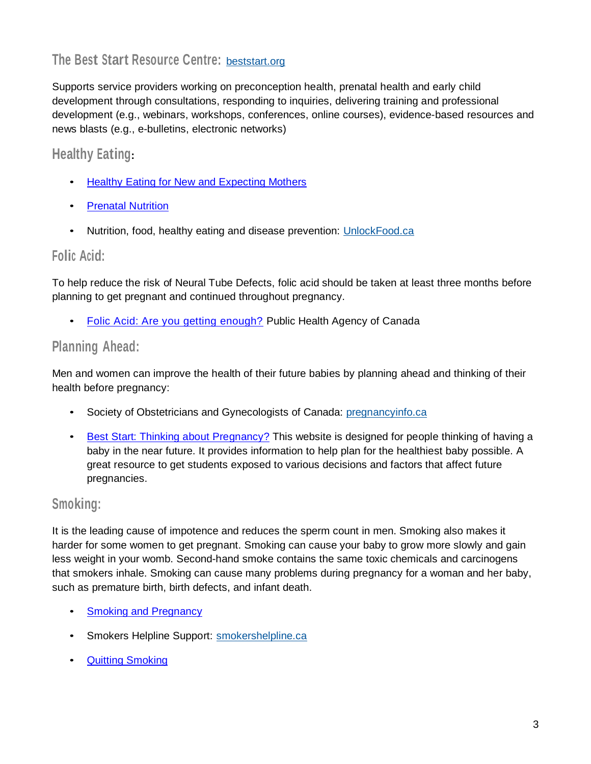## **The Best Start Resource Centre:** [beststart.org](http://www.beststart.org/)

Supports service providers working on preconception health, prenatal health and early child development through consultations, responding to inquiries, delivering training and professional development (e.g., webinars, workshops, conferences, online courses), evidence-based resources and news blasts (e.g., e-bulletins, electronic networks)

### **Healthy Eating:**

- Healthy Eating for New and [Expecting](https://www.york.ca/wps/portal/yorkhome/health/yr/prenatalandnewborns/healthyeatingfornewandexpectingmothers/healthyeatingfornewandexpectingmothers/!ut/p/z1/zZNdU4JAFIZ_SxddMnv4UJbLFU3ARMv8gBtnkRUwWYg2zX59S5MzXZTZFDNxAbNnX97DPucFhWiBQk53WUJFVnC6lesgbC9d0ncdZwDeyMA2EBgRTzMx9CwVzd8E8MVFAIXnvH9CEJ62n6EQheUqi1FgQGuNYxYrEWZYMSymKziysBK1YwaxHlEwrFq94qIUKQoO1XJVcMG4uIRDUd3LxaPIxNNbIS1yJu-MbkV6CWXFOBV0S3nM2T4qKv543DwwyYona1lje7nPnku2qit5IVJWna1D3neo5Cy0amgPE3lgKlIl4-sCLT75NLQ4s-XZOhRkm4eHkEh4NbFngRb_jN68nuxHfv0JNsCdeSaZqSMwXP1doGlG21Ft8MAZYXCvzHGrix0VBtq74ETYAhlW88sR3WpovsvYHk15UeXy55n8MJvOsYOJbeKQPozhbmrCTc80cPt6OL6-VX_Z4ZsDNGyvN2pvQrP2WrP2fwPHc8FWSR1_vacD0Vwbd3QP-36z7P1m2fvNsvebzf3st3DKfDrNsd7aJlhY7qaV5Mtux1cCb_dy8jEkFxevXc43LQ!!/dz/d5/L2dBISEvZ0FBIS9nQSEh/#.YijCIzHMKbg) Mothers
- [Prenatal Nutrition](https://www.canada.ca/en/health-canada/services/food-nutrition/healthy-eating/prenatal-nutrition.html)
- Nutrition, food, healthy eating and disease prevention: [UnlockFood.ca](http://www.unlockfood.ca/)

#### **Folic Acid:**

To help reduce the risk of Neural Tube Defects, folic acid should be taken at least three months before planning to get pregnant and continued throughout pregnancy.

• [Folic Acid: Are you getting enough?](https://www.canada.ca/en/public-health/services/publications/healthy-living/folic-acid-are-you-getting-enough-factsheet.html) Public Health Agency of Canada

#### **Planning Ahead:**

Men and women can improve the health of their future babies by planning ahead and thinking of their health before pregnancy:

- Society of Obstetricians and Gynecologists of Canada: [pregnancyinfo.ca](http://www.pregnancyinfo.ca/)
- Best [Start: Thinking about Pregnancy?](file:///C:/Users/richardsk/AppData/Roaming/OpenText/DM/Temp/Best%20Start:%20Thinking%20about%20Pregnancy%3f) This website is designed for people thinking of having a baby in the near future. It provides information to help plan for the healthiest baby possible. A great resource to get students exposed to various decisions and factors that affect future pregnancies.

#### **Smoking:**

It is the leading cause of impotence and reduces the sperm count in men. Smoking also makes it harder for some women to get pregnant. Smoking can cause your baby to grow more slowly and gain less weight in your womb. Second-hand smoke contains the same toxic chemicals and carcinogens that smokers inhale. Smoking can cause many problems during pregnancy for a woman and her baby, such as premature birth, birth defects, and infant death.

- **Smoking and [Pregnancy](https://www.canada.ca/en/health-canada/services/health-concerns/tobacco/smoking-your-body/pregnancy.html)**
- Smokers Helpline Support: [smokershelpline.ca](http://www.smokershelpline.ca/)
- Quitting [Smoking](http://ow.ly/zswA4)